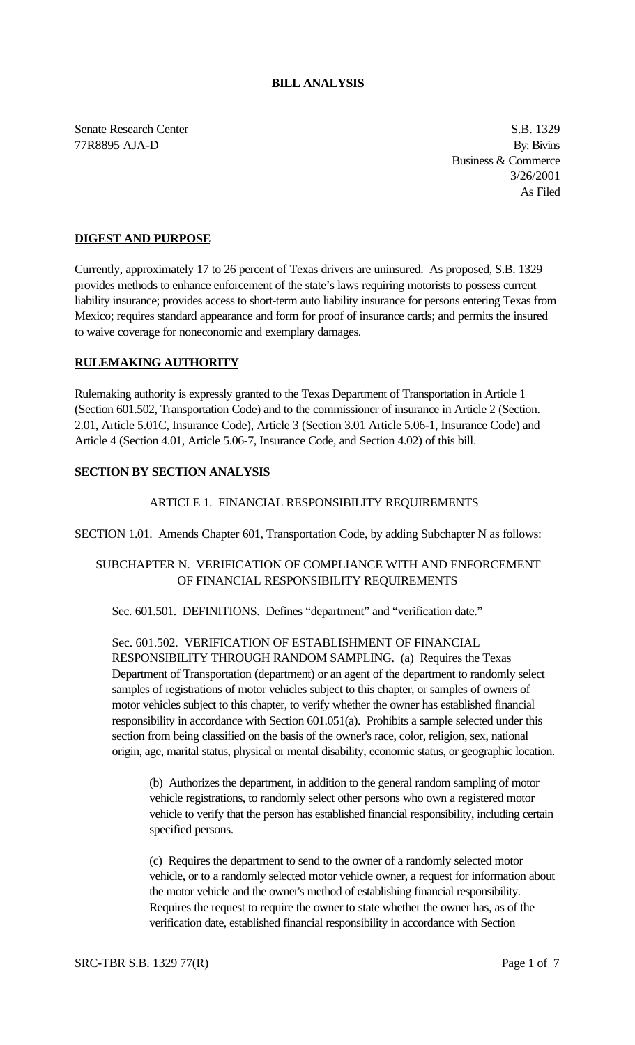### **BILL ANALYSIS**

Senate Research Center S.B. 1329 77R8895 AJA-D By: Bivins

Business & Commerce 3/26/2001 As Filed

### **DIGEST AND PURPOSE**

Currently, approximately 17 to 26 percent of Texas drivers are uninsured. As proposed, S.B. 1329 provides methods to enhance enforcement of the state's laws requiring motorists to possess current liability insurance; provides access to short-term auto liability insurance for persons entering Texas from Mexico; requires standard appearance and form for proof of insurance cards; and permits the insured to waive coverage for noneconomic and exemplary damages.

### **RULEMAKING AUTHORITY**

Rulemaking authority is expressly granted to the Texas Department of Transportation in Article 1 (Section 601.502, Transportation Code) and to the commissioner of insurance in Article 2 (Section. 2.01, Article 5.01C, Insurance Code), Article 3 (Section 3.01 Article 5.06-1, Insurance Code) and Article 4 (Section 4.01, Article 5.06-7, Insurance Code, and Section 4.02) of this bill.

#### **SECTION BY SECTION ANALYSIS**

#### ARTICLE 1. FINANCIAL RESPONSIBILITY REQUIREMENTS

SECTION 1.01. Amends Chapter 601, Transportation Code, by adding Subchapter N as follows:

## SUBCHAPTER N. VERIFICATION OF COMPLIANCE WITH AND ENFORCEMENT OF FINANCIAL RESPONSIBILITY REQUIREMENTS

Sec. 601.501. DEFINITIONS. Defines "department" and "verification date."

Sec. 601.502. VERIFICATION OF ESTABLISHMENT OF FINANCIAL RESPONSIBILITY THROUGH RANDOM SAMPLING. (a) Requires the Texas Department of Transportation (department) or an agent of the department to randomly select samples of registrations of motor vehicles subject to this chapter, or samples of owners of motor vehicles subject to this chapter, to verify whether the owner has established financial responsibility in accordance with Section 601.051(a). Prohibits a sample selected under this section from being classified on the basis of the owner's race, color, religion, sex, national origin, age, marital status, physical or mental disability, economic status, or geographic location.

(b) Authorizes the department, in addition to the general random sampling of motor vehicle registrations, to randomly select other persons who own a registered motor vehicle to verify that the person has established financial responsibility, including certain specified persons.

(c) Requires the department to send to the owner of a randomly selected motor vehicle, or to a randomly selected motor vehicle owner, a request for information about the motor vehicle and the owner's method of establishing financial responsibility. Requires the request to require the owner to state whether the owner has, as of the verification date, established financial responsibility in accordance with Section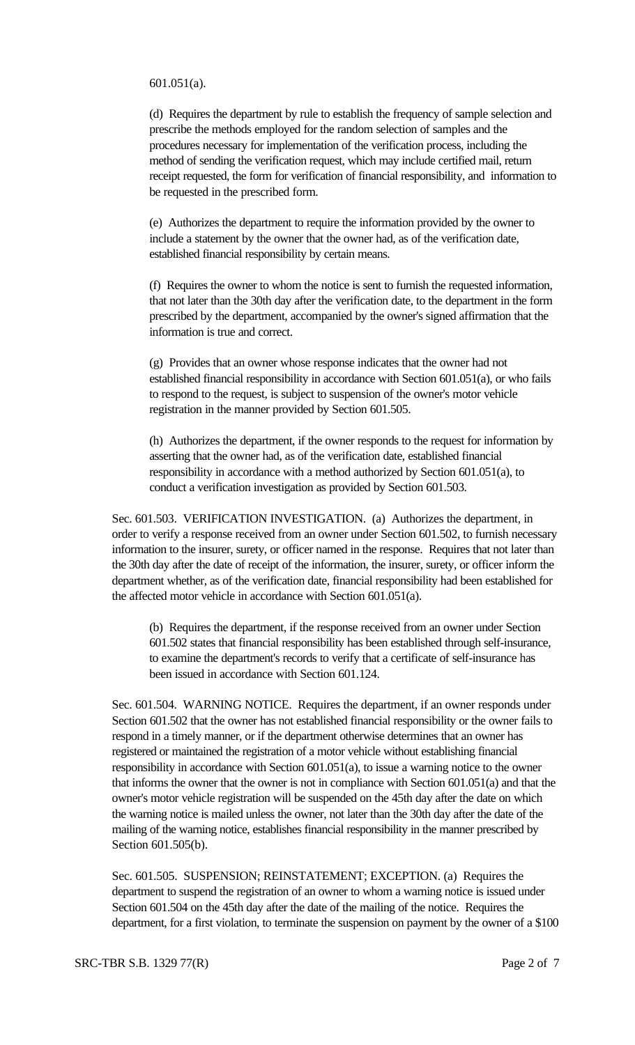601.051(a).

(d) Requires the department by rule to establish the frequency of sample selection and prescribe the methods employed for the random selection of samples and the procedures necessary for implementation of the verification process, including the method of sending the verification request, which may include certified mail, return receipt requested, the form for verification of financial responsibility, and information to be requested in the prescribed form.

(e) Authorizes the department to require the information provided by the owner to include a statement by the owner that the owner had, as of the verification date, established financial responsibility by certain means.

(f) Requires the owner to whom the notice is sent to furnish the requested information, that not later than the 30th day after the verification date, to the department in the form prescribed by the department, accompanied by the owner's signed affirmation that the information is true and correct.

(g) Provides that an owner whose response indicates that the owner had not established financial responsibility in accordance with Section 601.051(a), or who fails to respond to the request, is subject to suspension of the owner's motor vehicle registration in the manner provided by Section 601.505.

(h) Authorizes the department, if the owner responds to the request for information by asserting that the owner had, as of the verification date, established financial responsibility in accordance with a method authorized by Section 601.051(a), to conduct a verification investigation as provided by Section 601.503.

Sec. 601.503. VERIFICATION INVESTIGATION. (a) Authorizes the department, in order to verify a response received from an owner under Section 601.502, to furnish necessary information to the insurer, surety, or officer named in the response. Requires that not later than the 30th day after the date of receipt of the information, the insurer, surety, or officer inform the department whether, as of the verification date, financial responsibility had been established for the affected motor vehicle in accordance with Section 601.051(a).

(b) Requires the department, if the response received from an owner under Section 601.502 states that financial responsibility has been established through self-insurance, to examine the department's records to verify that a certificate of self-insurance has been issued in accordance with Section 601.124.

Sec. 601.504. WARNING NOTICE. Requires the department, if an owner responds under Section 601.502 that the owner has not established financial responsibility or the owner fails to respond in a timely manner, or if the department otherwise determines that an owner has registered or maintained the registration of a motor vehicle without establishing financial responsibility in accordance with Section 601.051(a), to issue a warning notice to the owner that informs the owner that the owner is not in compliance with Section 601.051(a) and that the owner's motor vehicle registration will be suspended on the 45th day after the date on which the warning notice is mailed unless the owner, not later than the 30th day after the date of the mailing of the warning notice, establishes financial responsibility in the manner prescribed by Section 601.505(b).

Sec. 601.505. SUSPENSION; REINSTATEMENT; EXCEPTION. (a) Requires the department to suspend the registration of an owner to whom a warning notice is issued under Section 601.504 on the 45th day after the date of the mailing of the notice. Requires the department, for a first violation, to terminate the suspension on payment by the owner of a \$100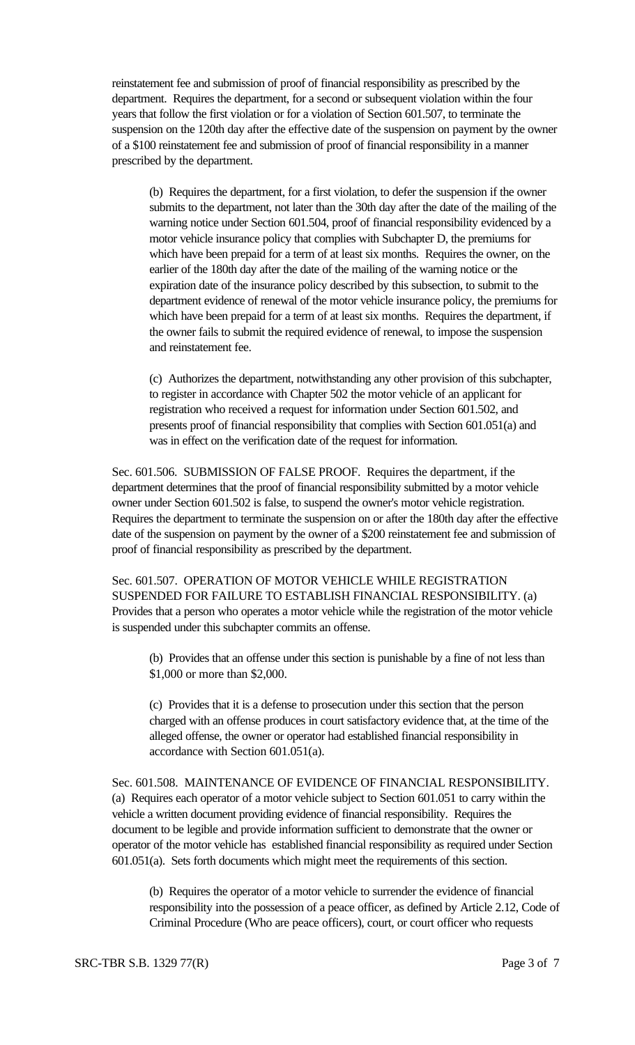reinstatement fee and submission of proof of financial responsibility as prescribed by the department. Requires the department, for a second or subsequent violation within the four years that follow the first violation or for a violation of Section 601.507, to terminate the suspension on the 120th day after the effective date of the suspension on payment by the owner of a \$100 reinstatement fee and submission of proof of financial responsibility in a manner prescribed by the department.

(b) Requires the department, for a first violation, to defer the suspension if the owner submits to the department, not later than the 30th day after the date of the mailing of the warning notice under Section 601.504, proof of financial responsibility evidenced by a motor vehicle insurance policy that complies with Subchapter D, the premiums for which have been prepaid for a term of at least six months. Requires the owner, on the earlier of the 180th day after the date of the mailing of the warning notice or the expiration date of the insurance policy described by this subsection, to submit to the department evidence of renewal of the motor vehicle insurance policy, the premiums for which have been prepaid for a term of at least six months. Requires the department, if the owner fails to submit the required evidence of renewal, to impose the suspension and reinstatement fee.

(c) Authorizes the department, notwithstanding any other provision of this subchapter, to register in accordance with Chapter 502 the motor vehicle of an applicant for registration who received a request for information under Section 601.502, and presents proof of financial responsibility that complies with Section 601.051(a) and was in effect on the verification date of the request for information.

Sec. 601.506. SUBMISSION OF FALSE PROOF. Requires the department, if the department determines that the proof of financial responsibility submitted by a motor vehicle owner under Section 601.502 is false, to suspend the owner's motor vehicle registration. Requires the department to terminate the suspension on or after the 180th day after the effective date of the suspension on payment by the owner of a \$200 reinstatement fee and submission of proof of financial responsibility as prescribed by the department.

Sec. 601.507. OPERATION OF MOTOR VEHICLE WHILE REGISTRATION SUSPENDED FOR FAILURE TO ESTABLISH FINANCIAL RESPONSIBILITY. (a) Provides that a person who operates a motor vehicle while the registration of the motor vehicle is suspended under this subchapter commits an offense.

(b) Provides that an offense under this section is punishable by a fine of not less than \$1,000 or more than \$2,000.

(c) Provides that it is a defense to prosecution under this section that the person charged with an offense produces in court satisfactory evidence that, at the time of the alleged offense, the owner or operator had established financial responsibility in accordance with Section 601.051(a).

Sec. 601.508. MAINTENANCE OF EVIDENCE OF FINANCIAL RESPONSIBILITY. (a) Requires each operator of a motor vehicle subject to Section 601.051 to carry within the vehicle a written document providing evidence of financial responsibility. Requires the document to be legible and provide information sufficient to demonstrate that the owner or operator of the motor vehicle has established financial responsibility as required under Section 601.051(a). Sets forth documents which might meet the requirements of this section.

(b) Requires the operator of a motor vehicle to surrender the evidence of financial responsibility into the possession of a peace officer, as defined by Article 2.12, Code of Criminal Procedure (Who are peace officers), court, or court officer who requests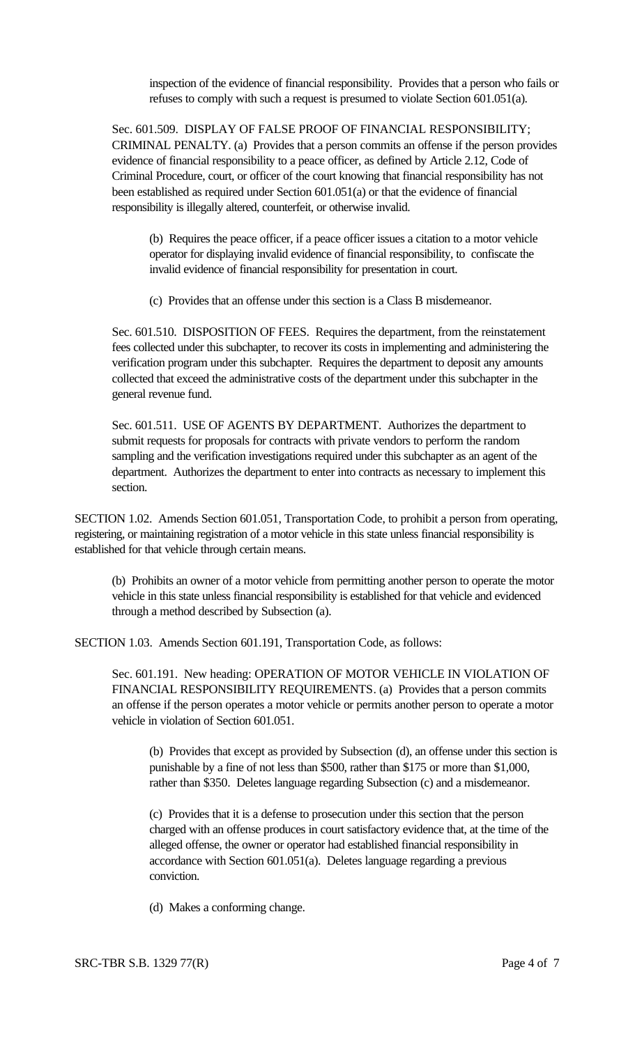inspection of the evidence of financial responsibility. Provides that a person who fails or refuses to comply with such a request is presumed to violate Section 601.051(a).

Sec. 601.509. DISPLAY OF FALSE PROOF OF FINANCIAL RESPONSIBILITY; CRIMINAL PENALTY. (a) Provides that a person commits an offense if the person provides evidence of financial responsibility to a peace officer, as defined by Article 2.12, Code of Criminal Procedure, court, or officer of the court knowing that financial responsibility has not been established as required under Section 601.051(a) or that the evidence of financial responsibility is illegally altered, counterfeit, or otherwise invalid.

(b) Requires the peace officer, if a peace officer issues a citation to a motor vehicle operator for displaying invalid evidence of financial responsibility, to confiscate the invalid evidence of financial responsibility for presentation in court.

(c) Provides that an offense under this section is a Class B misdemeanor.

Sec. 601.510. DISPOSITION OF FEES. Requires the department, from the reinstatement fees collected under this subchapter, to recover its costs in implementing and administering the verification program under this subchapter. Requires the department to deposit any amounts collected that exceed the administrative costs of the department under this subchapter in the general revenue fund.

Sec. 601.511. USE OF AGENTS BY DEPARTMENT. Authorizes the department to submit requests for proposals for contracts with private vendors to perform the random sampling and the verification investigations required under this subchapter as an agent of the department. Authorizes the department to enter into contracts as necessary to implement this section.

SECTION 1.02. Amends Section 601.051, Transportation Code, to prohibit a person from operating, registering, or maintaining registration of a motor vehicle in this state unless financial responsibility is established for that vehicle through certain means.

(b) Prohibits an owner of a motor vehicle from permitting another person to operate the motor vehicle in this state unless financial responsibility is established for that vehicle and evidenced through a method described by Subsection (a).

SECTION 1.03. Amends Section 601.191, Transportation Code, as follows:

Sec. 601.191. New heading: OPERATION OF MOTOR VEHICLE IN VIOLATION OF FINANCIAL RESPONSIBILITY REQUIREMENTS. (a) Provides that a person commits an offense if the person operates a motor vehicle or permits another person to operate a motor vehicle in violation of Section 601.051.

(b) Provides that except as provided by Subsection (d), an offense under this section is punishable by a fine of not less than \$500, rather than \$175 or more than \$1,000, rather than \$350. Deletes language regarding Subsection (c) and a misdemeanor.

(c) Provides that it is a defense to prosecution under this section that the person charged with an offense produces in court satisfactory evidence that, at the time of the alleged offense, the owner or operator had established financial responsibility in accordance with Section 601.051(a). Deletes language regarding a previous conviction.

(d) Makes a conforming change.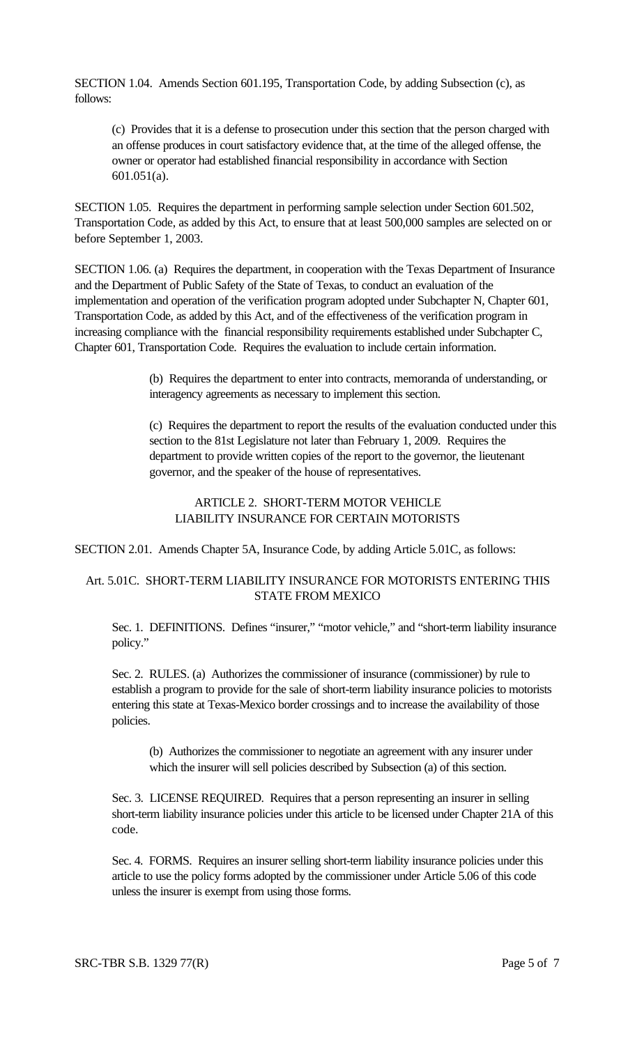SECTION 1.04. Amends Section 601.195, Transportation Code, by adding Subsection (c), as follows:

(c) Provides that it is a defense to prosecution under this section that the person charged with an offense produces in court satisfactory evidence that, at the time of the alleged offense, the owner or operator had established financial responsibility in accordance with Section 601.051(a).

SECTION 1.05. Requires the department in performing sample selection under Section 601.502, Transportation Code, as added by this Act, to ensure that at least 500,000 samples are selected on or before September 1, 2003.

SECTION 1.06. (a) Requires the department, in cooperation with the Texas Department of Insurance and the Department of Public Safety of the State of Texas, to conduct an evaluation of the implementation and operation of the verification program adopted under Subchapter N, Chapter 601, Transportation Code, as added by this Act, and of the effectiveness of the verification program in increasing compliance with the financial responsibility requirements established under Subchapter C, Chapter 601, Transportation Code. Requires the evaluation to include certain information.

> (b) Requires the department to enter into contracts, memoranda of understanding, or interagency agreements as necessary to implement this section.

(c) Requires the department to report the results of the evaluation conducted under this section to the 81st Legislature not later than February 1, 2009. Requires the department to provide written copies of the report to the governor, the lieutenant governor, and the speaker of the house of representatives.

## ARTICLE 2. SHORT-TERM MOTOR VEHICLE LIABILITY INSURANCE FOR CERTAIN MOTORISTS

SECTION 2.01. Amends Chapter 5A, Insurance Code, by adding Article 5.01C, as follows:

## Art. 5.01C. SHORT-TERM LIABILITY INSURANCE FOR MOTORISTS ENTERING THIS STATE FROM MEXICO

Sec. 1. DEFINITIONS. Defines "insurer," "motor vehicle," and "short-term liability insurance policy."

Sec. 2. RULES. (a) Authorizes the commissioner of insurance (commissioner) by rule to establish a program to provide for the sale of short-term liability insurance policies to motorists entering this state at Texas-Mexico border crossings and to increase the availability of those policies.

(b) Authorizes the commissioner to negotiate an agreement with any insurer under which the insurer will sell policies described by Subsection (a) of this section.

Sec. 3. LICENSE REQUIRED. Requires that a person representing an insurer in selling short-term liability insurance policies under this article to be licensed under Chapter 21A of this code.

Sec. 4. FORMS. Requires an insurer selling short-term liability insurance policies under this article to use the policy forms adopted by the commissioner under Article 5.06 of this code unless the insurer is exempt from using those forms.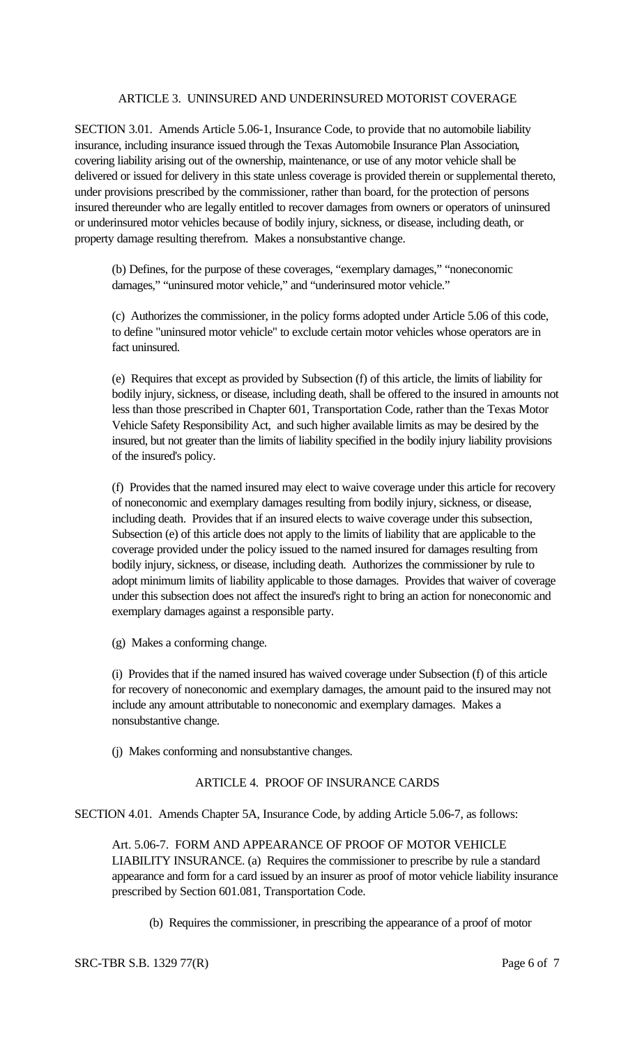### ARTICLE 3. UNINSURED AND UNDERINSURED MOTORIST COVERAGE

SECTION 3.01. Amends Article 5.06-1, Insurance Code, to provide that no automobile liability insurance, including insurance issued through the Texas Automobile Insurance Plan Association, covering liability arising out of the ownership, maintenance, or use of any motor vehicle shall be delivered or issued for delivery in this state unless coverage is provided therein or supplemental thereto, under provisions prescribed by the commissioner, rather than board, for the protection of persons insured thereunder who are legally entitled to recover damages from owners or operators of uninsured or underinsured motor vehicles because of bodily injury, sickness, or disease, including death, or property damage resulting therefrom. Makes a nonsubstantive change.

(b) Defines, for the purpose of these coverages, "exemplary damages," "noneconomic damages," "uninsured motor vehicle," and "underinsured motor vehicle."

(c) Authorizes the commissioner, in the policy forms adopted under Article 5.06 of this code, to define "uninsured motor vehicle" to exclude certain motor vehicles whose operators are in fact uninsured.

(e) Requires that except as provided by Subsection (f) of this article, the limits of liability for bodily injury, sickness, or disease, including death, shall be offered to the insured in amounts not less than those prescribed in Chapter 601, Transportation Code, rather than the Texas Motor Vehicle Safety Responsibility Act, and such higher available limits as may be desired by the insured, but not greater than the limits of liability specified in the bodily injury liability provisions of the insured's policy.

(f) Provides that the named insured may elect to waive coverage under this article for recovery of noneconomic and exemplary damages resulting from bodily injury, sickness, or disease, including death. Provides that if an insured elects to waive coverage under this subsection, Subsection (e) of this article does not apply to the limits of liability that are applicable to the coverage provided under the policy issued to the named insured for damages resulting from bodily injury, sickness, or disease, including death. Authorizes the commissioner by rule to adopt minimum limits of liability applicable to those damages. Provides that waiver of coverage under this subsection does not affect the insured's right to bring an action for noneconomic and exemplary damages against a responsible party.

(g) Makes a conforming change.

(i) Provides that if the named insured has waived coverage under Subsection (f) of this article for recovery of noneconomic and exemplary damages, the amount paid to the insured may not include any amount attributable to noneconomic and exemplary damages. Makes a nonsubstantive change.

(j) Makes conforming and nonsubstantive changes.

## ARTICLE 4. PROOF OF INSURANCE CARDS

SECTION 4.01. Amends Chapter 5A, Insurance Code, by adding Article 5.06-7, as follows:

Art. 5.06-7. FORM AND APPEARANCE OF PROOF OF MOTOR VEHICLE LIABILITY INSURANCE. (a) Requires the commissioner to prescribe by rule a standard appearance and form for a card issued by an insurer as proof of motor vehicle liability insurance prescribed by Section 601.081, Transportation Code.

(b) Requires the commissioner, in prescribing the appearance of a proof of motor